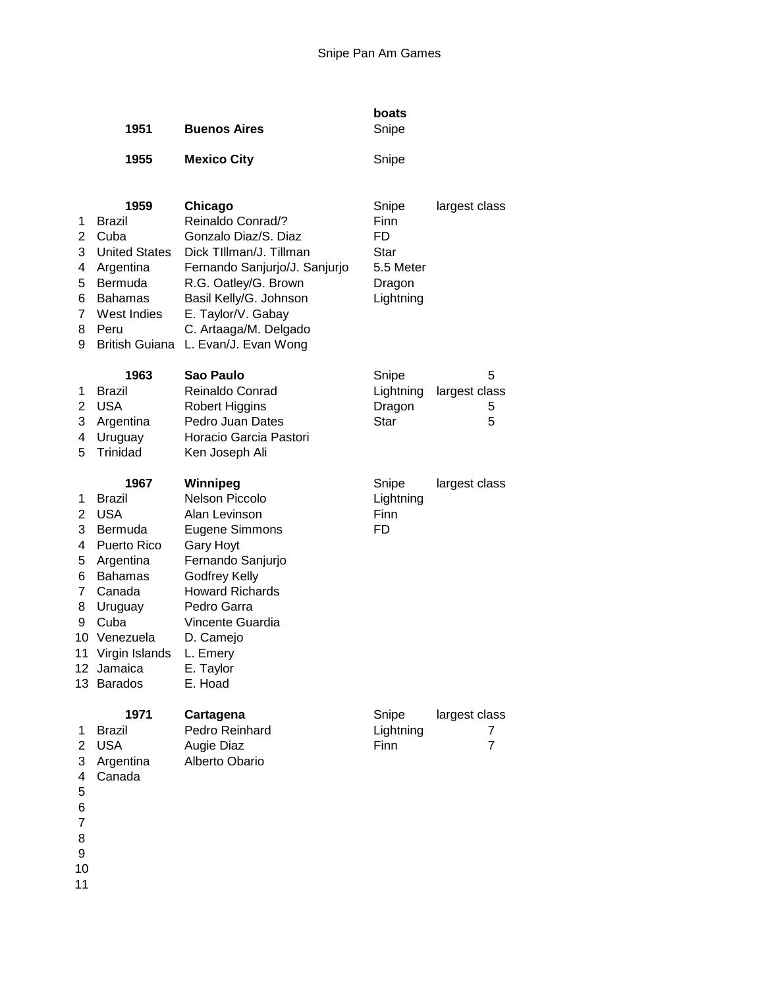|                                                       | 1951                                                                                                                                                                                 | <b>Buenos Aires</b>                                                                                                                                                                                                                                      | boats<br>Snipe                                                         |                                      |
|-------------------------------------------------------|--------------------------------------------------------------------------------------------------------------------------------------------------------------------------------------|----------------------------------------------------------------------------------------------------------------------------------------------------------------------------------------------------------------------------------------------------------|------------------------------------------------------------------------|--------------------------------------|
|                                                       | 1955                                                                                                                                                                                 | <b>Mexico City</b>                                                                                                                                                                                                                                       | Snipe                                                                  |                                      |
| 1<br>2<br>3<br>4<br>5<br>6<br>7<br>8<br>9             | 1959<br>Brazil<br>Cuba<br><b>United States</b><br>Argentina<br>Bermuda<br><b>Bahamas</b><br>West Indies<br>Peru                                                                      | Chicago<br>Reinaldo Conrad/?<br>Gonzalo Diaz/S. Diaz<br>Dick TIllman/J. Tillman<br>Fernando Sanjurjo/J. Sanjurjo<br>R.G. Oatley/G. Brown<br>Basil Kelly/G. Johnson<br>E. Taylor/V. Gabay<br>C. Artaaga/M. Delgado<br>British Guiana L. Evan/J. Evan Wong | Snipe<br>Finn<br>FD<br><b>Star</b><br>5.5 Meter<br>Dragon<br>Lightning | largest class                        |
| 1<br>2<br>3<br>4<br>5                                 | 1963<br><b>Brazil</b><br><b>USA</b><br>Argentina<br>Uruguay<br>Trinidad                                                                                                              | Sao Paulo<br>Reinaldo Conrad<br>Robert Higgins<br>Pedro Juan Dates<br>Horacio Garcia Pastori<br>Ken Joseph Ali                                                                                                                                           | Snipe<br>Lightning<br>Dragon<br><b>Star</b>                            | 5<br>largest class<br>5<br>5         |
| 1<br>2<br>3<br>4<br>5<br>6<br>7<br>8<br>9<br>10<br>11 | 1967<br><b>Brazil</b><br><b>USA</b><br>Bermuda<br>Puerto Rico<br>Argentina<br><b>Bahamas</b><br>Canada<br>Uruguay<br>Cuba<br>Venezuela<br>Virgin Islands<br>12 Jamaica<br>13 Barados | Winnipeg<br><b>Nelson Piccolo</b><br>Alan Levinson<br>Eugene Simmons<br><b>Gary Hoyt</b><br>Fernando Sanjurjo<br><b>Godfrey Kelly</b><br><b>Howard Richards</b><br>Pedro Garra<br>Vincente Guardia<br>D. Camejo<br>L. Emery<br>E. Taylor<br>E. Hoad      | Snipe<br>Lightning<br>Finn<br>FD                                       | largest class                        |
| 1<br>2<br>3<br>4<br>5<br>6<br>7<br>8                  | 1971<br><b>Brazil</b><br><b>USA</b><br>Argentina<br>Canada                                                                                                                           | Cartagena<br>Pedro Reinhard<br>Augie Diaz<br>Alberto Obario                                                                                                                                                                                              | Snipe<br>Lightning<br>Finn                                             | largest class<br>7<br>$\overline{7}$ |

- 
- 
-